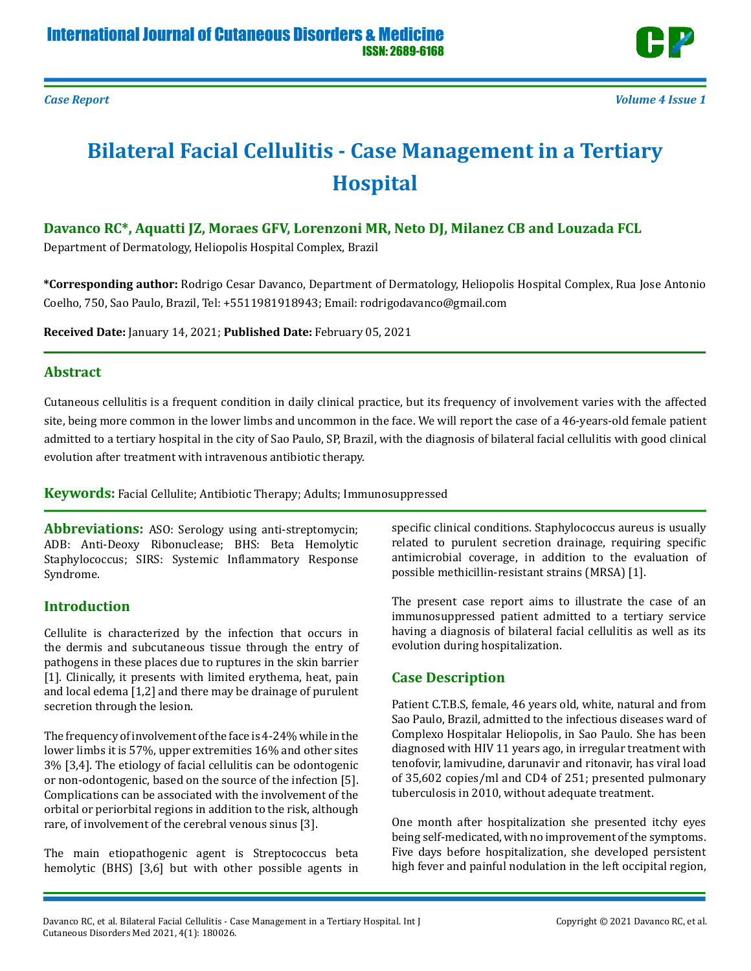



# **Bilateral Facial Cellulitis - Case Management in a Tertiary Hospital**

## **Davanco RC\*, Aquatti JZ, Moraes GFV, Lorenzoni MR, Neto DJ, Milanez CB and Louzada FCL**

Department of Dermatology, Heliopolis Hospital Complex, Brazil

**\*Corresponding author:** Rodrigo Cesar Davanco, Department of Dermatology, Heliopolis Hospital Complex, Rua Jose Antonio Coelho, 750, Sao Paulo, Brazil, Tel: +5511981918943; Email: rodrigodavanco@gmail.com

**Received Date:** January 14, 2021; **Published Date:** February 05, 2021

### **Abstract**

Cutaneous cellulitis is a frequent condition in daily clinical practice, but its frequency of involvement varies with the affected site, being more common in the lower limbs and uncommon in the face. We will report the case of a 46-years-old female patient admitted to a tertiary hospital in the city of Sao Paulo, SP, Brazil, with the diagnosis of bilateral facial cellulitis with good clinical evolution after treatment with intravenous antibiotic therapy.

**Keywords:** Facial Cellulite; Antibiotic Therapy; Adults; Immunosuppressed

**Abbreviations:** ASO: Serology using anti-streptomycin; ADB: Anti-Deoxy Ribonuclease; BHS: Beta Hemolytic Staphylococcus; SIRS: Systemic Inflammatory Response Syndrome.

## **Introduction**

Cellulite is characterized by the infection that occurs in the dermis and subcutaneous tissue through the entry of pathogens in these places due to ruptures in the skin barrier [1]. Clinically, it presents with limited erythema, heat, pain and local edema [1,2] and there may be drainage of purulent secretion through the lesion.

The frequency of involvement of the face is 4-24% while in the lower limbs it is 57%, upper extremities 16% and other sites 3% [3,4]. The etiology of facial cellulitis can be odontogenic or non-odontogenic, based on the source of the infection [5]. Complications can be associated with the involvement of the orbital or periorbital regions in addition to the risk, although rare, of involvement of the cerebral venous sinus [3].

The main etiopathogenic agent is Streptococcus beta hemolytic (BHS) [3,6] but with other possible agents in

specific clinical conditions. Staphylococcus aureus is usually related to purulent secretion drainage, requiring specific antimicrobial coverage, in addition to the evaluation of possible methicillin-resistant strains (MRSA) [1].

The present case report aims to illustrate the case of an immunosuppressed patient admitted to a tertiary service having a diagnosis of bilateral facial cellulitis as well as its evolution during hospitalization.

# **Case Description**

Patient C.T.B.S, female, 46 years old, white, natural and from Sao Paulo, Brazil, admitted to the infectious diseases ward of Complexo Hospitalar Heliopolis, in Sao Paulo. She has been diagnosed with HIV 11 years ago, in irregular treatment with tenofovir, lamivudine, darunavir and ritonavir, has viral load of 35,602 copies/ml and CD4 of 251; presented pulmonary tuberculosis in 2010, without adequate treatment.

One month after hospitalization she presented itchy eyes being self-medicated, with no improvement of the symptoms. Five days before hospitalization, she developed persistent high fever and painful nodulation in the left occipital region,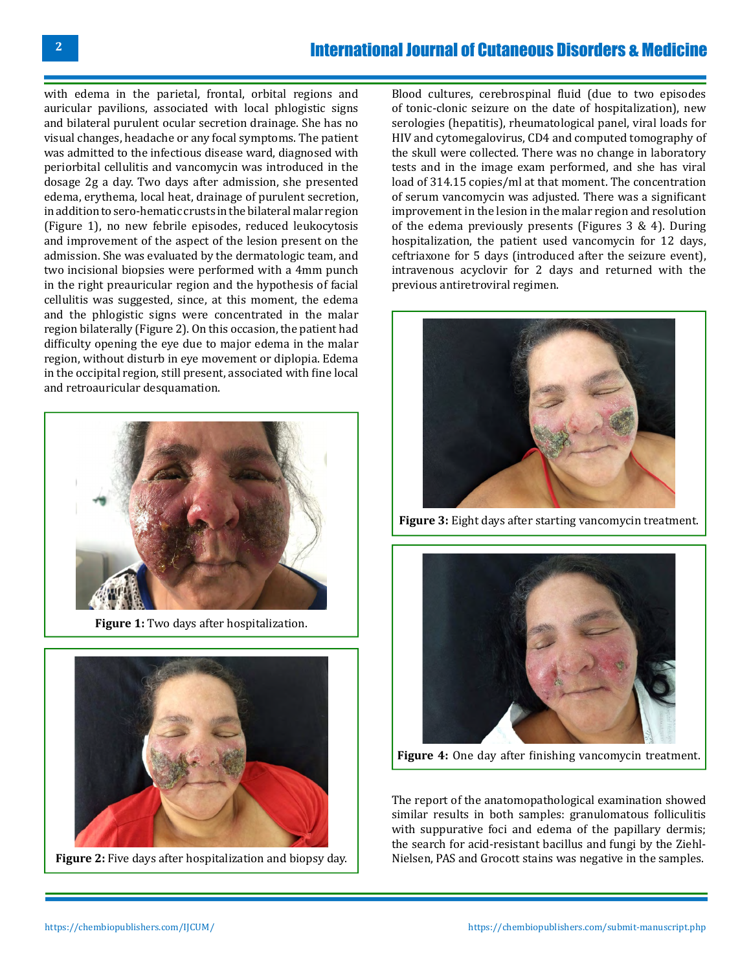# International Journal of Cutaneous Disorders & Medicine

with edema in the parietal, frontal, orbital regions and auricular pavilions, associated with local phlogistic signs and bilateral purulent ocular secretion drainage. She has no visual changes, headache or any focal symptoms. The patient was admitted to the infectious disease ward, diagnosed with periorbital cellulitis and vancomycin was introduced in the dosage 2g a day. Two days after admission, she presented edema, erythema, local heat, drainage of purulent secretion, in addition to sero-hematic crusts in the bilateral malar region (Figure 1), no new febrile episodes, reduced leukocytosis and improvement of the aspect of the lesion present on the admission. She was evaluated by the dermatologic team, and two incisional biopsies were performed with a 4mm punch in the right preauricular region and the hypothesis of facial cellulitis was suggested, since, at this moment, the edema and the phlogistic signs were concentrated in the malar region bilaterally (Figure 2). On this occasion, the patient had difficulty opening the eye due to major edema in the malar region, without disturb in eye movement or diplopia. Edema in the occipital region, still present, associated with fine local and retroauricular desquamation.



**Figure 1:** Two days after hospitalization.



**Figure 2:** Five days after hospitalization and biopsy day.

Blood cultures, cerebrospinal fluid (due to two episodes of tonic-clonic seizure on the date of hospitalization), new serologies (hepatitis), rheumatological panel, viral loads for HIV and cytomegalovirus, CD4 and computed tomography of the skull were collected. There was no change in laboratory tests and in the image exam performed, and she has viral load of 314.15 copies/ml at that moment. The concentration of serum vancomycin was adjusted. There was a significant improvement in the lesion in the malar region and resolution of the edema previously presents (Figures 3 & 4). During hospitalization, the patient used vancomycin for 12 days, ceftriaxone for 5 days (introduced after the seizure event), intravenous acyclovir for 2 days and returned with the previous antiretroviral regimen.



**Figure 3:** Eight days after starting vancomycin treatment.



**Figure 4:** One day after finishing vancomycin treatment.

The report of the anatomopathological examination showed similar results in both samples: granulomatous folliculitis with suppurative foci and edema of the papillary dermis; the search for acid-resistant bacillus and fungi by the Ziehl-Nielsen, PAS and Grocott stains was negative in the samples.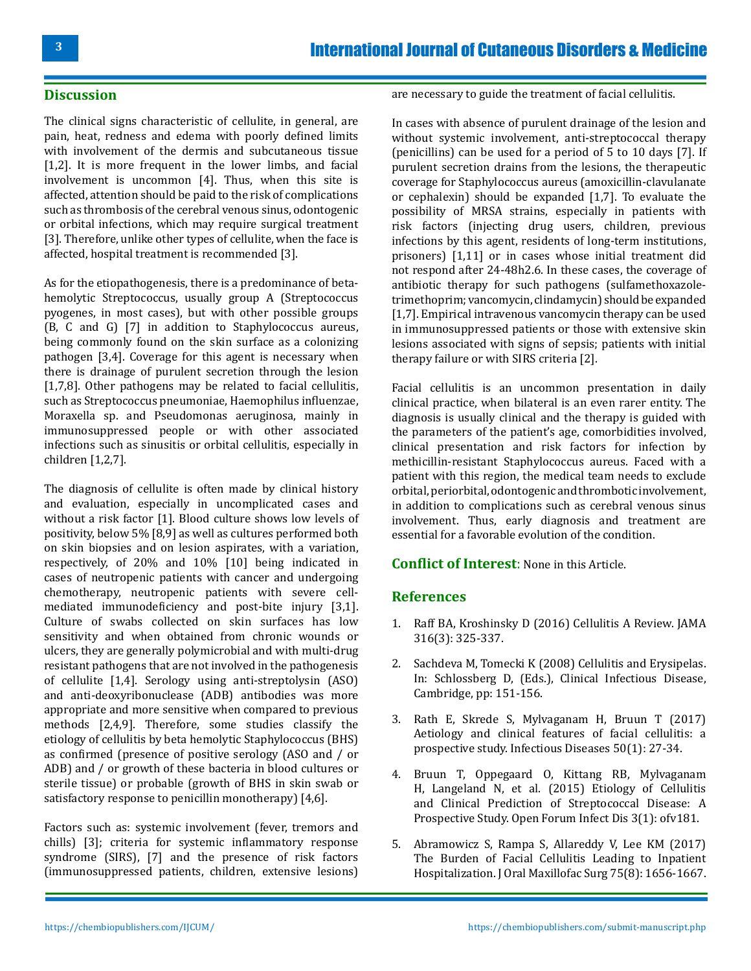### **Discussion**

The clinical signs characteristic of cellulite, in general, are pain, heat, redness and edema with poorly defined limits with involvement of the dermis and subcutaneous tissue [1,2]. It is more frequent in the lower limbs, and facial involvement is uncommon [4]. Thus, when this site is affected, attention should be paid to the risk of complications such as thrombosis of the cerebral venous sinus, odontogenic or orbital infections, which may require surgical treatment [3]. Therefore, unlike other types of cellulite, when the face is affected, hospital treatment is recommended [3].

As for the etiopathogenesis, there is a predominance of betahemolytic Streptococcus, usually group A (Streptococcus pyogenes, in most cases), but with other possible groups (B, C and G) [7] in addition to Staphylococcus aureus, being commonly found on the skin surface as a colonizing pathogen [3,4]. Coverage for this agent is necessary when there is drainage of purulent secretion through the lesion [1,7,8]. Other pathogens may be related to facial cellulitis, such as Streptococcus pneumoniae, Haemophilus influenzae, Moraxella sp. and Pseudomonas aeruginosa, mainly in immunosuppressed people or with other associated infections such as sinusitis or orbital cellulitis, especially in children [1,2,7].

The diagnosis of cellulite is often made by clinical history and evaluation, especially in uncomplicated cases and without a risk factor [1]. Blood culture shows low levels of positivity, below 5% [8,9] as well as cultures performed both on skin biopsies and on lesion aspirates, with a variation, respectively, of 20% and 10% [10] being indicated in cases of neutropenic patients with cancer and undergoing chemotherapy, neutropenic patients with severe cellmediated immunodeficiency and post-bite injury [3,1]. Culture of swabs collected on skin surfaces has low sensitivity and when obtained from chronic wounds or ulcers, they are generally polymicrobial and with multi-drug resistant pathogens that are not involved in the pathogenesis of cellulite [1,4]. Serology using anti-streptolysin (ASO) and anti-deoxyribonuclease (ADB) antibodies was more appropriate and more sensitive when compared to previous methods [2,4,9]. Therefore, some studies classify the etiology of cellulitis by beta hemolytic Staphylococcus (BHS) as confirmed (presence of positive serology (ASO and / or ADB) and / or growth of these bacteria in blood cultures or sterile tissue) or probable (growth of BHS in skin swab or satisfactory response to penicillin monotherapy) [4,6].

Factors such as: systemic involvement (fever, tremors and chills) [3]; criteria for systemic inflammatory response syndrome (SIRS), [7] and the presence of risk factors (immunosuppressed patients, children, extensive lesions) are necessary to guide the treatment of facial cellulitis.

In cases with absence of purulent drainage of the lesion and without systemic involvement, anti-streptococcal therapy (penicillins) can be used for a period of 5 to 10 days [7]. If purulent secretion drains from the lesions, the therapeutic coverage for Staphylococcus aureus (amoxicillin-clavulanate or cephalexin) should be expanded [1,7]. To evaluate the possibility of MRSA strains, especially in patients with risk factors (injecting drug users, children, previous infections by this agent, residents of long-term institutions, prisoners) [1,11] or in cases whose initial treatment did not respond after 24-48h2.6. In these cases, the coverage of antibiotic therapy for such pathogens (sulfamethoxazoletrimethoprim; vancomycin, clindamycin) should be expanded [1,7]. Empirical intravenous vancomycin therapy can be used in immunosuppressed patients or those with extensive skin lesions associated with signs of sepsis; patients with initial therapy failure or with SIRS criteria [2].

Facial cellulitis is an uncommon presentation in daily clinical practice, when bilateral is an even rarer entity. The diagnosis is usually clinical and the therapy is guided with the parameters of the patient's age, comorbidities involved, clinical presentation and risk factors for infection by methicillin-resistant Staphylococcus aureus. Faced with a patient with this region, the medical team needs to exclude orbital, periorbital, odontogenic and thrombotic involvement, in addition to complications such as cerebral venous sinus involvement. Thus, early diagnosis and treatment are essential for a favorable evolution of the condition.

#### **Conflict of Interest**: None in this Article.

### **References**

- 1. [Raff BA, Kroshinsky D \(2016\) Cellulitis A Review. JAMA](https://pubmed.ncbi.nlm.nih.gov/27434444/)  [316\(3\): 325-337.](https://pubmed.ncbi.nlm.nih.gov/27434444/)
- 2. Sachdeva M, Tomecki K (2008) Cellulitis and Erysipelas. In: Schlossberg D, (Eds.), Clinical Infectious Disease, Cambridge, pp: 151-156.
- 3. [Rath E, Skrede S, Mylvaganam H, Bruun T \(2017\)](https://pubmed.ncbi.nlm.nih.gov/28768452/) [Aetiology and clinical features of facial cellulitis: a](https://pubmed.ncbi.nlm.nih.gov/28768452/) [prospective study. Infectious Diseases 50\(1\): 27-34.](https://pubmed.ncbi.nlm.nih.gov/28768452/)
- 4. [Bruun T, Oppegaard O, Kittang RB, Mylvaganam](https://pubmed.ncbi.nlm.nih.gov/26734653/)  [H, Langeland N, et al. \(2015\) Etiology of Cellulitis](https://pubmed.ncbi.nlm.nih.gov/26734653/)  [and Clinical Prediction of Streptococcal Disease: A](https://pubmed.ncbi.nlm.nih.gov/26734653/) [Prospective Study. Open Forum Infect Dis 3\(1\): ofv181.](https://pubmed.ncbi.nlm.nih.gov/26734653/)
- 5. [Abramowicz S, Rampa S, Allareddy V, Lee KM \(2017\)](https://pubmed.ncbi.nlm.nih.gov/28242238/) [The Burden of Facial Cellulitis Leading to Inpatient](https://pubmed.ncbi.nlm.nih.gov/28242238/)  [Hospitalization. J Oral Maxillofac Surg 75\(8\): 1656-1667.](https://pubmed.ncbi.nlm.nih.gov/28242238/)